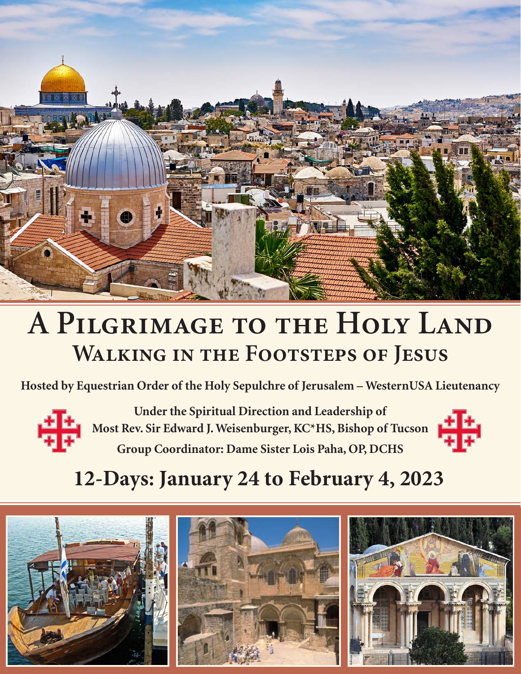

# **A Pilgrimage to the Holy Land Walking in the Footsteps of Jesus**

**Hosted by Equestrian Order of the Holy Sepulchre of Jerusalem – WesternUSA Lieutenancy** 



**Under the Spiritual Direction and Leadership of Most Rev. Sir Edward J. Weisenburger, KC\*HS, Bishop of Tucson Group Coordinator: Dame Sister Lois Paha, OP, DCHS**



# **12-Days: January 24 to February 4, 2023**

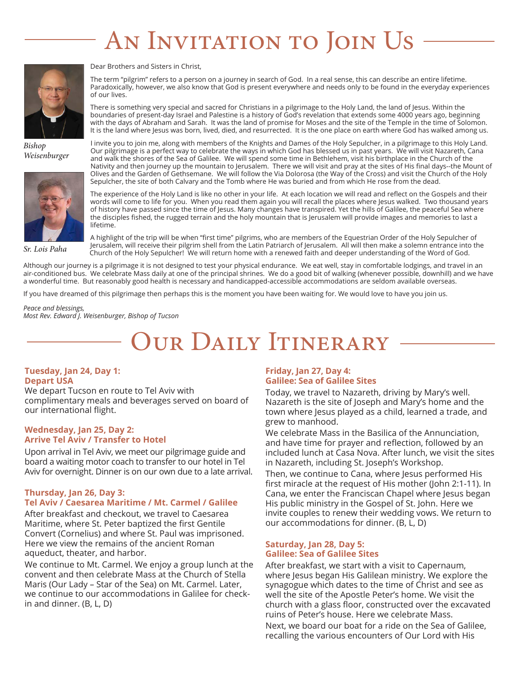# AN INVITATION TO JOIN US



*Bishop Weisenburger*



Dear Brothers and Sisters in Christ,

The term "pilgrim" refers to a person on a journey in search of God. In a real sense, this can describe an entire lifetime. Paradoxically, however, we also know that God is present everywhere and needs only to be found in the everyday experiences of our lives.

There is something very special and sacred for Christians in a pilgrimage to the Holy Land, the land of Jesus. Within the boundaries of present-day Israel and Palestine is a history of God's revelation that extends some 4000 years ago, beginning with the days of Abraham and Sarah. It was the land of promise for Moses and the site of the Temple in the time of Solomon. It is the land where Jesus was born, lived, died, and resurrected. It is the one place on earth where God has walked among us.

I invite you to join me, along with members of the Knights and Dames of the Holy Sepulcher, in a pilgrimage to this Holy Land. Our pilgrimage is a perfect way to celebrate the ways in which God has blessed us in past years. We will visit Nazareth, Cana and walk the shores of the Sea of Galilee. We will spend some time in Bethlehem, visit his birthplace in the Church of the Nativity and then journey up the mountain to Jerusalem. There we will visit and pray at the sites of His final days--the Mount of Olives and the Garden of Gethsemane. We will follow the Via Dolorosa (the Way of the Cross) and visit the Church of the Holy Sepulcher, the site of both Calvary and the Tomb where He was buried and from which He rose from the dead.

The experience of the Holy Land is like no other in your life. At each location we will read and reflect on the Gospels and their words will come to life for you. When you read them again you will recall the places where Jesus walked. Two thousand years of history have passed since the time of Jesus. Many changes have transpired. Yet the hills of Galilee, the peaceful Sea where the disciples fished, the rugged terrain and the holy mountain that is Jerusalem will provide images and memories to last a lifetime.

*Sr. Lois Paha*

A highlight of the trip will be when "first time" pilgrims, who are members of the Equestrian Order of the Holy Sepulcher of Jerusalem, will receive their pilgrim shell from the Latin Patriarch of Jerusalem. All will then make a solemn entrance into the Church of the Holy Sepulcher! We will return home with a renewed faith and deeper understanding of the Word of God.

Although our journey is a pilgrimage it is not designed to test your physical endurance. We eat well, stay in comfortable lodgings, and travel in an air-conditioned bus. We celebrate Mass daily at one of the principal shrines. We do a good bit of walking (whenever possible, downhill) and we have a wonderful time. But reasonably good health is necessary and handicapped-accessible accommodations are seldom available overseas.

If you have dreamed of this pilgrimage then perhaps this is the moment you have been waiting for. We would love to have you join us.

*Peace and blessings, Most Rev. Edward J. Weisenburger, Bishop of Tucson*

# OUR DAILY ITINERARY

# **Tuesday, Jan 24, Day 1: Depart USA**

We depart Tucson en route to Tel Aviv with complimentary meals and beverages served on board of our international flight.

# **Wednesday, Jan 25, Day 2: Arrive Tel Aviv / Transfer to Hotel**

Upon arrival in Tel Aviv, we meet our pilgrimage guide and board a waiting motor coach to transfer to our hotel in Tel Aviv for overnight. Dinner is on our own due to a late arrival.

#### **Thursday, Jan 26, Day 3: Tel Aviv / Caesarea Maritime / Mt. Carmel / Galilee**

After breakfast and checkout, we travel to Caesarea Maritime, where St. Peter baptized the first Gentile Convert (Cornelius) and where St. Paul was imprisoned. Here we view the remains of the ancient Roman aqueduct, theater, and harbor.

We continue to Mt. Carmel. We enjoy a group lunch at the convent and then celebrate Mass at the Church of Stella Maris (Our Lady – Star of the Sea) on Mt. Carmel. Later, we continue to our accommodations in Galilee for checkin and dinner. (B, L, D)

# **Friday, Jan 27, Day 4: Galilee: Sea of Galilee Sites**

Today, we travel to Nazareth, driving by Mary's well. Nazareth is the site of Joseph and Mary's home and the town where Jesus played as a child, learned a trade, and grew to manhood.

We celebrate Mass in the Basilica of the Annunciation, and have time for prayer and reflection, followed by an included lunch at Casa Nova. After lunch, we visit the sites in Nazareth, including St. Joseph's Workshop.

Then, we continue to Cana, where Jesus performed His first miracle at the request of His mother (John 2:1-11). In Cana, we enter the Franciscan Chapel where Jesus began His public ministry in the Gospel of St. John. Here we invite couples to renew their wedding vows. We return to our accommodations for dinner. (B, L, D)

# **Saturday, Jan 28, Day 5: Galilee: Sea of Galilee Sites**

After breakfast, we start with a visit to Capernaum, where Jesus began His Galilean ministry. We explore the synagogue which dates to the time of Christ and see as well the site of the Apostle Peter's home. We visit the church with a glass floor, constructed over the excavated ruins of Peter's house. Here we celebrate Mass.

Next, we board our boat for a ride on the Sea of Galilee, recalling the various encounters of Our Lord with His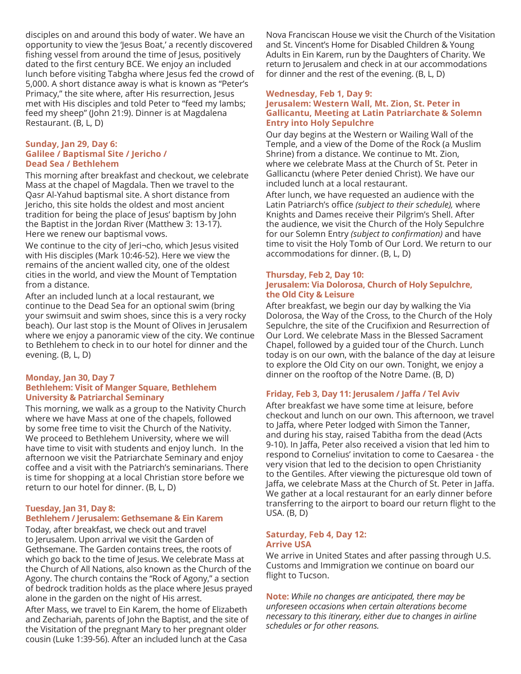disciples on and around this body of water. We have an opportunity to view the 'Jesus Boat,' a recently discovered fishing vessel from around the time of Jesus, positively dated to the first century BCE. We enjoy an included lunch before visiting Tabgha where Jesus fed the crowd of 5,000. A short distance away is what is known as "Peter's Primacy," the site where, after His resurrection, Jesus met with His disciples and told Peter to "feed my lambs; feed my sheep" (John 21:9). Dinner is at Magdalena Restaurant. (B, L, D)

# **Sunday, Jan 29, Day 6: Galilee / Baptismal Site / Jericho / Dead Sea / Bethlehem**

This morning after breakfast and checkout, we celebrate Mass at the chapel of Magdala. Then we travel to the Qasr Al-Yahud baptismal site. A short distance from Jericho, this site holds the oldest and most ancient tradition for being the place of Jesus' baptism by John the Baptist in the Jordan River (Matthew 3: 13-17). Here we renew our baptismal vows.

We continue to the city of Jeri¬cho, which Jesus visited with His disciples (Mark 10:46-52). Here we view the remains of the ancient walled city, one of the oldest cities in the world, and view the Mount of Temptation from a distance.

After an included lunch at a local restaurant, we continue to the Dead Sea for an optional swim (bring your swimsuit and swim shoes, since this is a very rocky beach). Our last stop is the Mount of Olives in Jerusalem where we enjoy a panoramic view of the city. We continue to Bethlehem to check in to our hotel for dinner and the evening. (B, L, D)

## **Monday, Jan 30, Day 7 Bethlehem: Visit of Manger Square, Bethlehem University & Patriarchal Seminary**

This morning, we walk as a group to the Nativity Church where we have Mass at one of the chapels, followed by some free time to visit the Church of the Nativity. We proceed to Bethlehem University, where we will have time to visit with students and enjoy lunch. In the afternoon we visit the Patriarchate Seminary and enjoy coffee and a visit with the Patriarch's seminarians. There is time for shopping at a local Christian store before we return to our hotel for dinner. (B, L, D)

# **Tuesday, Jan 31, Day 8: Bethlehem / Jerusalem: Gethsemane & Ein Karem**

Today, after breakfast, we check out and travel to Jerusalem. Upon arrival we visit the Garden of Gethsemane. The Garden contains trees, the roots of which go back to the time of Jesus. We celebrate Mass at the Church of All Nations, also known as the Church of the Agony. The church contains the "Rock of Agony," a section of bedrock tradition holds as the place where Jesus prayed alone in the garden on the night of His arrest.

After Mass, we travel to Ein Karem, the home of Elizabeth and Zechariah, parents of John the Baptist, and the site of the Visitation of the pregnant Mary to her pregnant older cousin (Luke 1:39-56). After an included lunch at the Casa

Nova Franciscan House we visit the Church of the Visitation and St. Vincent's Home for Disabled Children & Young Adults in Ein Karem, run by the Daughters of Charity. We return to Jerusalem and check in at our accommodations for dinner and the rest of the evening. (B, L, D)

# **Wednesday, Feb 1, Day 9: Jerusalem: Western Wall, Mt. Zion, St. Peter in Gallicantu, Meeting at Latin Patriarchate & Solemn Entry into Holy Sepulchre**

Our day begins at the Western or Wailing Wall of the Temple, and a view of the Dome of the Rock (a Muslim Shrine) from a distance. We continue to Mt. Zion, where we celebrate Mass at the Church of St. Peter in Gallicanctu (where Peter denied Christ). We have our included lunch at a local restaurant.

After lunch, we have requested an audience with the Latin Patriarch's office *(subject to their schedule),* where Knights and Dames receive their Pilgrim's Shell. After the audience, we visit the Church of the Holy Sepulchre for our Solemn Entry *(subject to confirmation)* and have time to visit the Holy Tomb of Our Lord. We return to our accommodations for dinner. (B, L, D)

# **Thursday, Feb 2, Day 10: Jerusalem: Via Dolorosa, Church of Holy Sepulchre, the Old City & Leisure**

After breakfast, we begin our day by walking the Via Dolorosa, the Way of the Cross, to the Church of the Holy Sepulchre, the site of the Crucifixion and Resurrection of Our Lord. We celebrate Mass in the Blessed Sacrament Chapel, followed by a guided tour of the Church. Lunch today is on our own, with the balance of the day at leisure to explore the Old City on our own. Tonight, we enjoy a dinner on the rooftop of the Notre Dame. (B, D)

# **Friday, Feb 3, Day 11: Jerusalem / Jaffa / Tel Aviv**

After breakfast we have some time at leisure, before checkout and lunch on our own. This afternoon, we travel to Jaffa, where Peter lodged with Simon the Tanner, and during his stay, raised Tabitha from the dead (Acts 9-10). In Jaffa, Peter also received a vision that led him to respond to Cornelius' invitation to come to Caesarea - the very vision that led to the decision to open Christianity to the Gentiles. After viewing the picturesque old town of Jaffa, we celebrate Mass at the Church of St. Peter in Jaffa. We gather at a local restaurant for an early dinner before transferring to the airport to board our return flight to the USA. (B, D)

# **Saturday, Feb 4, Day 12: Arrive USA**

We arrive in United States and after passing through U.S. Customs and Immigration we continue on board our flight to Tucson.

**Note:** *While no changes are anticipated, there may be unforeseen occasions when certain alterations become necessary to this itinerary, either due to changes in airline schedules or for other reasons.*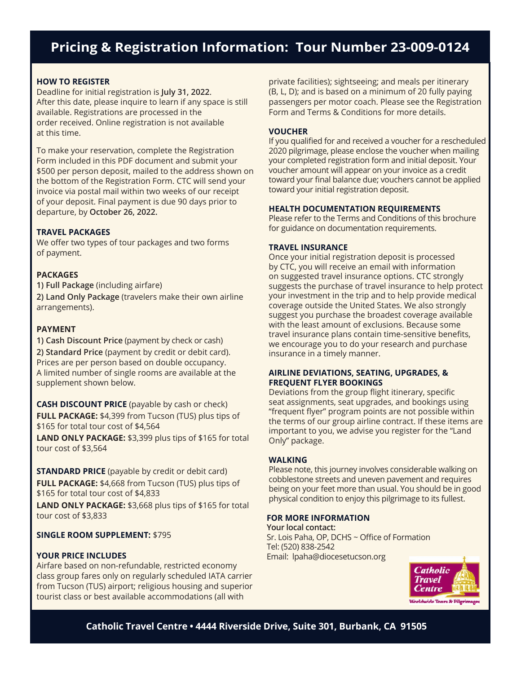# **Pricing & Registration Information: Tour Number 23-009-0124**

# **HOW TO REGISTER**

Deadline for initial registration is **July 31, 2022**. After this date, please inquire to learn if any space is still available. Registrations are processed in the order received. Online registration is not available at this time.

To make your reservation, complete the Registration Form included in this PDF document and submit your \$500 per person deposit, mailed to the address shown on the bottom of the Registration Form. CTC will send your invoice via postal mail within two weeks of our receipt of your deposit. Final payment is due 90 days prior to departure, by **October 26, 2022.** 

## **TRAVEL PACKAGES**

We offer two types of tour packages and two forms of payment.

# **PACKAGES**

**1) Full Package** (including airfare) **2) Land Only Package** (travelers make their own airline arrangements).

# **PAYMENT**

**1) Cash Discount Price** (payment by check or cash) **2) Standard Price** (payment by credit or debit card). Prices are per person based on double occupancy. A limited number of single rooms are available at the supplement shown below.

**CASH DISCOUNT PRICE** (payable by cash or check) **FULL PACKAGE:** \$4,399 from Tucson (TUS) plus tips of \$165 for total tour cost of \$4,564

**LAND ONLY PACKAGE:** \$3,399 plus tips of \$165 for total tour cost of \$3,564

**STANDARD PRICE** (payable by credit or debit card) **FULL PACKAGE:** \$4,668 from Tucson (TUS) plus tips of \$165 for total tour cost of \$4,833

**LAND ONLY PACKAGE:** \$3,668 plus tips of \$165 for total tour cost of \$3,833

## **SINGLE ROOM SUPPLEMENT:** \$795

### **YOUR PRICE INCLUDES**

Airfare based on non-refundable, restricted economy class group fares only on regularly scheduled IATA carrier from Tucson (TUS) airport; religious housing and superior tourist class or best available accommodations (all with

private facilities); sightseeing; and meals per itinerary (B, L, D); and is based on a minimum of 20 fully paying passengers per motor coach. Please see the Registration Form and Terms & Conditions for more details.

# **VOUCHER**

If you qualified for and received a voucher for a rescheduled 2020 pilgrimage, please enclose the voucher when mailing your completed registration form and initial deposit. Your voucher amount will appear on your invoice as a credit toward your final balance due; vouchers cannot be applied toward your initial registration deposit.

### **HEALTH DOCUMENTATION REQUIREMENTS**

Please refer to the Terms and Conditions of this brochure for guidance on documentation requirements.

### **TRAVEL INSURANCE**

Once your initial registration deposit is processed by CTC, you will receive an email with information on suggested travel insurance options. CTC strongly suggests the purchase of travel insurance to help protect your investment in the trip and to help provide medical coverage outside the United States. We also strongly suggest you purchase the broadest coverage available with the least amount of exclusions. Because some travel insurance plans contain time-sensitive benefits, we encourage you to do your research and purchase insurance in a timely manner.

# **AIRLINE DEVIATIONS, SEATING, UPGRADES, & FREQUENT FLYER BOOKINGS**

Deviations from the group flight itinerary, specific seat assignments, seat upgrades, and bookings using "frequent flyer" program points are not possible within the terms of our group airline contract. If these items are important to you, we advise you register for the "Land Only" package.

#### **WALKING**

Please note, this journey involves considerable walking on cobblestone streets and uneven pavement and requires being on your feet more than usual. You should be in good physical condition to enjoy this pilgrimage to its fullest.

### **FOR MORE INFORMATION**

**Your local contact:**  Sr. Lois Paha, OP, DCHS ~ Office of Formation Tel: (520) 838-2542 Email: lpaha@diocesetucson.org



**Catholic Travel Centre • 4444 Riverside Drive, Suite 301, Burbank, CA 91505**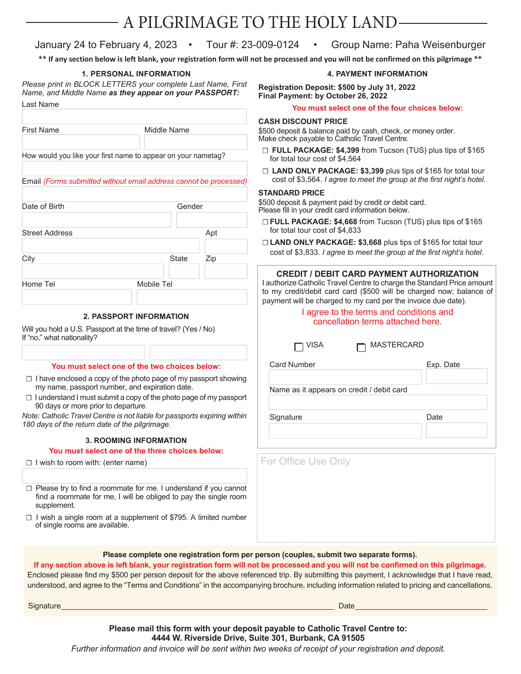# A PILGRIMAGE TO THE HOLY LAND

# January 24 to February 4, 2023 • Tour #: 23-009-0124 • Group Name: Paha Weisenburger

**\*\* If any section below is left blank, your registration form will not be processed and you will not be confirmed on this pilgrimage \*\***

# **1. PERSONAL INFORMATION**

*Please print in BLOCK LETTERS your complete Last Name, First Name, and Middle Name as they appear on your PASSPORT:* Last Name

|                                                                                                                                                                                                       |                                |     | <b>TOU ITIUSE SUBLE ONE C</b>                                                                                                                                                                                                                                                             |
|-------------------------------------------------------------------------------------------------------------------------------------------------------------------------------------------------------|--------------------------------|-----|-------------------------------------------------------------------------------------------------------------------------------------------------------------------------------------------------------------------------------------------------------------------------------------------|
| First Name                                                                                                                                                                                            | Middle Name                    |     | <b>CASH DISCOUNT PRICE</b><br>\$500 deposit & balance paid by cas<br>Make check payable to Catholic Tra                                                                                                                                                                                   |
| How would you like your first name to appear on your nametag?                                                                                                                                         |                                |     | D FULL PACKAGE: \$4,399 fro<br>for total tour cost of \$4,564                                                                                                                                                                                                                             |
| Email (Forms submitted without email address cannot be processed)                                                                                                                                     |                                |     | <b>D LAND ONLY PACKAGE: \$3,</b><br>cost of \$3,564. I agree to mee                                                                                                                                                                                                                       |
|                                                                                                                                                                                                       |                                |     | <b>STANDARD PRICE</b>                                                                                                                                                                                                                                                                     |
| Date of Birth                                                                                                                                                                                         | Gender                         |     | \$500 deposit & payment paid by cr<br>Please fill in your credit card inform                                                                                                                                                                                                              |
| <b>Street Address</b>                                                                                                                                                                                 |                                | Apt | DEULL PACKAGE: \$4,668 from<br>for total tour cost of \$4,833                                                                                                                                                                                                                             |
|                                                                                                                                                                                                       |                                |     | <b>LAND ONLY PACKAGE: \$3,6</b>                                                                                                                                                                                                                                                           |
| City                                                                                                                                                                                                  | State                          | Zip | cost of \$3,833. I agree to mee                                                                                                                                                                                                                                                           |
|                                                                                                                                                                                                       |                                |     | <b>CREDIT / DEBIT CARD F</b>                                                                                                                                                                                                                                                              |
| Home Tel                                                                                                                                                                                              | Mobile Tel                     |     | I authorize Catholic Travel Centre<br>to my credit/debit card card (\$5<br>payment will be charged to my ca                                                                                                                                                                               |
|                                                                                                                                                                                                       | <b>2. PASSPORT INFORMATION</b> |     | I agree to the term                                                                                                                                                                                                                                                                       |
| Will you hold a U.S. Passport at the time of travel? (Yes / No)                                                                                                                                       |                                |     | cancellation ter                                                                                                                                                                                                                                                                          |
| If "no," what nationality?                                                                                                                                                                            |                                |     |                                                                                                                                                                                                                                                                                           |
|                                                                                                                                                                                                       |                                |     | VISA                                                                                                                                                                                                                                                                                      |
|                                                                                                                                                                                                       |                                |     | <b>Card Number</b>                                                                                                                                                                                                                                                                        |
| You must select one of the two choices below:                                                                                                                                                         |                                |     |                                                                                                                                                                                                                                                                                           |
| $\Box$ I have enclosed a copy of the photo page of my passport showing<br>my name, passport number, and expiration date.<br>$\Box$ I understand I must submit a copy of the photo page of my passport |                                |     | Name as it appears on credit /                                                                                                                                                                                                                                                            |
| 90 days or more prior to departure.                                                                                                                                                                   |                                |     |                                                                                                                                                                                                                                                                                           |
| Note: Catholic Travel Centre is not liable for passports expiring within<br>180 days of the return date of the pilgrimage.                                                                            |                                |     | Signature                                                                                                                                                                                                                                                                                 |
|                                                                                                                                                                                                       | <b>3. ROOMING INFORMATION</b>  |     |                                                                                                                                                                                                                                                                                           |
| You must select one of the three choices below:                                                                                                                                                       |                                |     |                                                                                                                                                                                                                                                                                           |
| $\Box$ I wish to room with: (enter name)                                                                                                                                                              |                                |     | For Office Use Only                                                                                                                                                                                                                                                                       |
|                                                                                                                                                                                                       |                                |     |                                                                                                                                                                                                                                                                                           |
| $\Box$ Please try to find a roommate for me. I understand if you cannot<br>find a roommate for me, I will be obliged to pay the single room<br>supplement.                                            |                                |     |                                                                                                                                                                                                                                                                                           |
| $\Box$ I wish a single room at a supplement of \$795. A limited number<br>of single rooms are available.                                                                                              |                                |     |                                                                                                                                                                                                                                                                                           |
|                                                                                                                                                                                                       |                                |     | Please complete one registration form per person (couples, submit two sep<br>If any section above is left blank, your registration form will not be processed and you will not<br>Enclosed please find my \$500 per person deposit for the above referenced trip. By submitting this payn |

**You must select one of the four choices below:**

**Registration Deposit: \$500 by July 31, 2022**

**Final Payment: by October 26, 2022**

sh, check, or money order. avel Centre.

m Tucson (TUS) plus tips of \$165

**4. PAYMENT INFORMATION**

399 plus tips of \$165 for total tour et the group at the first night's hotel.

edit or debit card. ation below.

- m Tucson (TUS) plus tips of \$165
- 668 plus tips of \$165 for total tour *If the group at the first night's hotel.*

| <b>CREDIT / DEBIT CARD PAYMENT AUTHORIZATION</b><br>I authorize Catholic Travel Centre to charge the Standard Price amount<br>to my credit/debit card card (\$500 will be charged now; balance of<br>payment will be charged to my card per the invoice due date).<br>I agree to the terms and conditions and<br>cancellation terms attached here. |           |  |  |
|----------------------------------------------------------------------------------------------------------------------------------------------------------------------------------------------------------------------------------------------------------------------------------------------------------------------------------------------------|-----------|--|--|
| <b>MASTERCARD</b><br>VISA                                                                                                                                                                                                                                                                                                                          |           |  |  |
| <b>Card Number</b>                                                                                                                                                                                                                                                                                                                                 | Exp. Date |  |  |
| Name as it appears on credit / debit card                                                                                                                                                                                                                                                                                                          |           |  |  |
| Signature                                                                                                                                                                                                                                                                                                                                          | Date      |  |  |
|                                                                                                                                                                                                                                                                                                                                                    |           |  |  |
| For Office Use Only                                                                                                                                                                                                                                                                                                                                |           |  |  |

# **Parate forms).**

be confirmed on this pilgrimage. ment, I acknowledge that I have read, understood, and agree to the "Terms and Conditions" in the accompanying brochure, including information related to pricing and cancellations.

Signature Date

**Please mail this form with your deposit payable to Catholic Travel Centre to: 4444 W. Riverside Drive, Suite 301, Burbank, CA 91505** 

*Further information and invoice will be sent within two weeks of receipt of your registration and deposit.*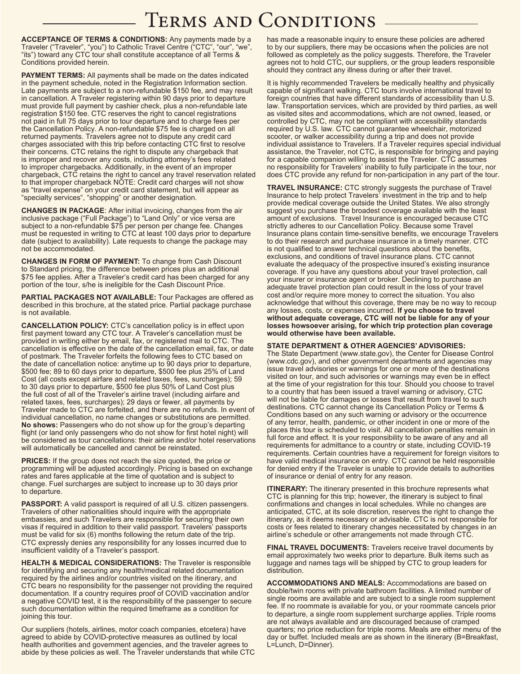# Terms and Conditions

**ACCEPTANCE OF TERMS & CONDITIONS:** Any payments made by a Traveler ("Traveler", "you") to Catholic Travel Centre ("CTC", "our", "we", "its") toward any CTC tour shall constitute acceptance of all Terms & Conditions provided herein.

**PAYMENT TERMS:** All payments shall be made on the dates indicated in the payment schedule, noted in the Registration Information section. Late payments are subject to a non-refundable \$150 fee, and may result in cancellation. A Traveler registering within 90 days prior to departure must provide full payment by cashier check, plus a non-refundable late registration \$150 fee. CTC reserves the right to cancel registrations not paid in full 75 days prior to tour departure and to charge fees per the Cancellation Policy. A non-refundable \$75 fee is charged on all returned payments. Travelers agree not to dispute any credit card charges associated with this trip before contacting CTC first to resolve their concerns. CTC retains the right to dispute any chargeback that is improper and recover any costs, including attorney's fees related to improper chargebacks. Additionally, in the event of an improper chargeback, CTC retains the right to cancel any travel reservation related to that improper chargeback NOTE: Credit card charges will not show as "travel expense" on your credit card statement, but will appear as "specialty services", "shopping" or another designation.

**CHANGES IN PACKAGE**: After initial invoicing, changes from the air inclusive package ("Full Package") to "Land Only" or vice versa are subject to a non-refundable \$75 per person per change fee. Changes must be requested in writing to CTC at least 100 days prior to departure date (subject to availability). Late requests to change the package may not be accommodated.

**CHANGES IN FORM OF PAYMENT:** To change from Cash Discount to Standard pricing, the difference between prices plus an additional \$75 fee applies. After a Traveler's credit card has been charged for any portion of the tour, s/he is ineligible for the Cash Discount Price.

**PARTIAL PACKAGES NOT AVAILABLE:** Tour Packages are offered as described in this brochure, at the stated price. Partial package purchase is not available.

**CANCELLATION POLICY:** CTC's cancellation policy is in effect upon first payment toward any CTC tour. A Traveler's cancellation must be provided in writing either by email, fax, or registered mail to CTC. The cancellation is effective on the date of the cancellation email, fax, or date of postmark. The Traveler forfeits the following fees to CTC based on the date of cancellation notice: anytime up to 90 days prior to departure, \$500 fee; 89 to 60 days prior to departure, \$500 fee plus 25% of Land Cost (all costs except airfare and related taxes, fees, surcharges); 59 to 30 days prior to departure, \$500 fee plus 50% of Land Cost plus the full cost of all of the Traveler's airline travel (including airfare and related taxes, fees, surcharges); 29 days or fewer, all payments by Traveler made to CTC are forfeited, and there are no refunds. In event of individual cancellation, no name changes or substitutions are permitted. **No shows:** Passengers who do not show up for the group's departing flight (or land only passengers who do not show for first hotel night) will be considered as tour cancellations: their airline and/or hotel reservations will automatically be cancelled and cannot be reinstated.

**PRICES:** If the group does not reach the size quoted, the price or programming will be adjusted accordingly. Pricing is based on exchange rates and fares applicable at the time of quotation and is subject to change. Fuel surcharges are subject to increase up to 30 days prior to departure.

**PASSPORT:** A valid passport is required of all U.S. citizen passengers. Travelers of other nationalities should inquire with the appropriate embassies, and such Travelers are responsible for securing their own visas if required in addition to their valid passport. Travelers' passports must be valid for six (6) months following the return date of the trip. CTC expressly denies any responsibility for any losses incurred due to insufficient validity of a Traveler's passport.

**HEALTH & MEDICAL CONSIDERATIONS:** The Traveler is responsible for identifying and securing any health/medical related documentation required by the airlines and/or countries visited on the itinerary, and CTC bears no responsibility for the passenger not providing the required documentation. If a country requires proof of COVID vaccination and/or a negative COVID test, it is the responsibility of the passenger to secure such documentation within the required timeframe as a condition for joining this tour.

Our suppliers (hotels, airlines, motor coach companies, etcetera) have agreed to abide by COVID-protective measures as outlined by local health authorities and government agencies, and the traveler agrees to abide by these policies as well. The Traveler understands that while CTC has made a reasonable inquiry to ensure these policies are adhered to by our suppliers, there may be occasions when the policies are not followed as completely as the policy suggests. Therefore, the Traveler agrees not to hold CTC, our suppliers, or the group leaders responsible should they contract any illness during or after their travel.

It is highly recommended Travelers be medically healthy and physically capable of significant walking. CTC tours involve international travel to foreign countries that have different standards of accessibility than U.S. law. Transportation services, which are provided by third parties, as well as visited sites and accommodations, which are not owned, leased, or controlled by CTC, may not be compliant with accessibility standards required by U.S. law. CTC cannot guarantee wheelchair, motorized scooter, or walker accessibility during a trip and does not provide individual assistance to Travelers. If a Traveler requires special individual assistance, the Traveler, not CTC, is responsible for bringing and paying for a capable companion willing to assist the Traveler. CTC assumes no responsibility for Travelers' inability to fully participate in the tour, nor does CTC provide any refund for non-participation in any part of the tour.

**TRAVEL INSURANCE:** CTC strongly suggests the purchase of Travel Insurance to help protect Travelers' investment in the trip and to help provide medical coverage outside the United States. We also strongly suggest you purchase the broadest coverage available with the least amount of exclusions. Travel Insurance is encouraged because CTC strictly adheres to our Cancellation Policy. Because some Travel Insurance plans contain time-sensitive benefits, we encourage Travelers to do their research and purchase insurance in a timely manner. CTC is not qualified to answer technical questions about the benefits, exclusions, and conditions of travel insurance plans. CTC cannot evaluate the adequacy of the prospective insured's existing insurance coverage. If you have any questions about your travel protection, call your insurer or insurance agent or broker. Declining to purchase an adequate travel protection plan could result in the loss of your travel cost and/or require more money to correct the situation. You also acknowledge that without this coverage, there may be no way to recoup any losses, costs, or expenses incurred. **If you choose to travel without adequate coverage, CTC will not be liable for any of your losses howsoever arising, for which trip protection plan coverage would otherwise have been available.** 

#### **STATE DEPARTMENT & OTHER AGENCIES' ADVISORIES:**

The State Department (www.state.gov), the Center for Disease Control (www.cdc.gov), and other government departments and agencies may issue travel advisories or warnings for one or more of the destinations visited on tour, and such advisories or warnings may even be in effect at the time of your registration for this tour. Should you choose to travel to a country that has been issued a travel warning or advisory, CTC will not be liable for damages or losses that result from travel to such destinations. CTC cannot change its Cancellation Policy or Terms & Conditions based on any such warning or advisory or the occurrence of any terror, health, pandemic, or other incident in one or more of the places this tour is scheduled to visit. All cancellation penalties remain in full force and effect. It is your responsibility to be aware of any and all requirements for admittance to a country or state, including COVID-19 requirements. Certain countries have a requirement for foreign visitors to have valid medical insurance on entry. CTC cannot be held responsible for denied entry if the Traveler is unable to provide details to authorities of insurance or denial of entry for any reason.

**ITINERARY:** The itinerary presented in this brochure represents what CTC is planning for this trip; however, the itinerary is subject to final confirmations and changes in local schedules. While no changes are anticipated, CTC, at its sole discretion, reserves the right to change the itinerary, as it deems necessary or advisable. CTC is not responsible for costs or fees related to itinerary changes necessitated by changes in an airline's schedule or other arrangements not made through CTC.

**FINAL TRAVEL DOCUMENTS:** Travelers receive travel documents by email approximately two weeks prior to departure. Bulk items such as luggage and names tags will be shipped by CTC to group leaders for distribution.

**ACCOMMODATIONS AND MEALS:** Accommodations are based on double/twin rooms with private bathroom facilities. A limited number of single rooms are available and are subject to a single room supplement fee. If no roommate is available for you, or your roommate cancels prior to departure, a single room supplement surcharge applies. Triple rooms are not always available and are discouraged because of cramped quarters; no price reduction for triple rooms. Meals are either menu of the day or buffet. Included meals are as shown in the itinerary (B=Breakfast, L=Lunch, D=Dinner).